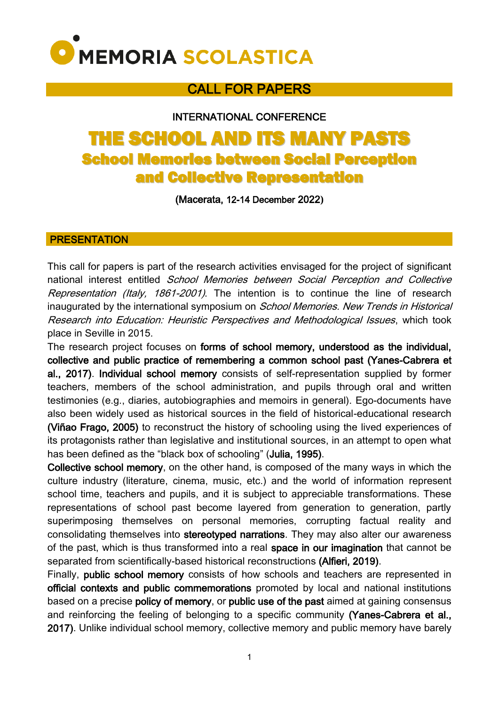

# CALL FOR PAPERS

INTERNATIONAL CONFERENCE

# THE SCHOOL AND ITS MANY PASTS School Memories between Social Perception and Collective Representation

(Macerata, 12-14 December 2022**)**

#### PRESENTATION

This call for papers is part of the research activities envisaged for the project of significant national interest entitled School Memories between Social Perception and Collective Representation (Italy, 1861-2001). The intention is to continue the line of research inaugurated by the international symposium on *School Memories. New Trends in Historical* Research into Education: Heuristic Perspectives and Methodological Issues, which took place in Seville in 2015.

The research project focuses on forms of school memory, understood as the individual, collective and public practice of remembering a common school past (Yanes-Cabrera et al., 2017). Individual school memory consists of self-representation supplied by former teachers, members of the school administration, and pupils through oral and written testimonies (e.g., diaries, autobiographies and memoirs in general). Ego-documents have also been widely used as historical sources in the field of historical-educational research (Viñao Frago, 2005) to reconstruct the history of schooling using the lived experiences of its protagonists rather than legislative and institutional sources, in an attempt to open what has been defined as the "black box of schooling" (Julia, 1995).

Collective school memory, on the other hand, is composed of the many ways in which the culture industry (literature, cinema, music, etc.) and the world of information represent school time, teachers and pupils, and it is subject to appreciable transformations. These representations of school past become layered from generation to generation, partly superimposing themselves on personal memories, corrupting factual reality and consolidating themselves into stereotyped narrations. They may also alter our awareness of the past, which is thus transformed into a real space in our imagination that cannot be separated from scientifically-based historical reconstructions (Alfieri, 2019).

Finally, public school memory consists of how schools and teachers are represented in official contexts and public commemorations promoted by local and national institutions based on a precise policy of memory, or public use of the past aimed at gaining consensus and reinforcing the feeling of belonging to a specific community (Yanes-Cabrera et al., 2017). Unlike individual school memory, collective memory and public memory have barely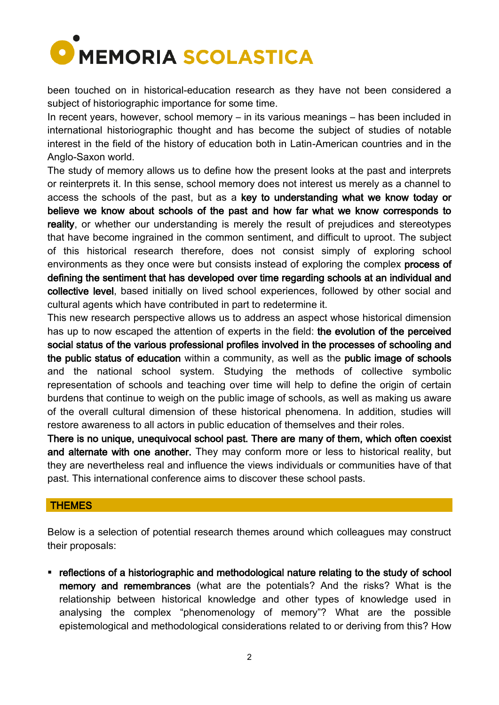

been touched on in historical-education research as they have not been considered a subject of historiographic importance for some time.

In recent years, however, school memory – in its various meanings – has been included in international historiographic thought and has become the subject of studies of notable interest in the field of the history of education both in Latin-American countries and in the Anglo-Saxon world.

The study of memory allows us to define how the present looks at the past and interprets or reinterprets it. In this sense, school memory does not interest us merely as a channel to access the schools of the past, but as a key to understanding what we know today or believe we know about schools of the past and how far what we know corresponds to reality, or whether our understanding is merely the result of prejudices and stereotypes that have become ingrained in the common sentiment, and difficult to uproot. The subject of this historical research therefore, does not consist simply of exploring school environments as they once were but consists instead of exploring the complex process of defining the sentiment that has developed over time regarding schools at an individual and collective level, based initially on lived school experiences, followed by other social and cultural agents which have contributed in part to redetermine it.

This new research perspective allows us to address an aspect whose historical dimension has up to now escaped the attention of experts in the field: the evolution of the perceived social status of the various professional profiles involved in the processes of schooling and the public status of education within a community, as well as the public image of schools and the national school system. Studying the methods of collective symbolic representation of schools and teaching over time will help to define the origin of certain burdens that continue to weigh on the public image of schools, as well as making us aware of the overall cultural dimension of these historical phenomena. In addition, studies will restore awareness to all actors in public education of themselves and their roles.

There is no unique, unequivocal school past. There are many of them, which often coexist and alternate with one another. They may conform more or less to historical reality, but they are nevertheless real and influence the views individuals or communities have of that past. This international conference aims to discover these school pasts.

#### **THEMES**

Below is a selection of potential research themes around which colleagues may construct their proposals:

 reflections of a historiographic and methodological nature relating to the study of school memory and remembrances (what are the potentials? And the risks? What is the relationship between historical knowledge and other types of knowledge used in analysing the complex "phenomenology of memory"? What are the possible epistemological and methodological considerations related to or deriving from this? How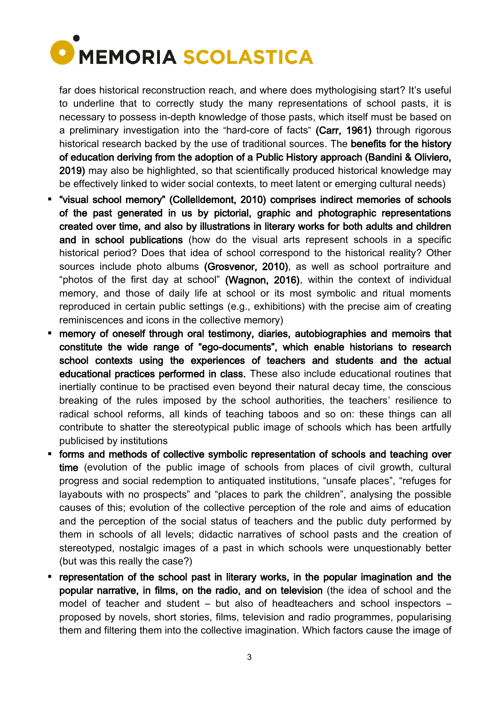

far does historical reconstruction reach, and where does mythologising start? It's useful to underline that to correctly study the many representations of school pasts, it is necessary to possess in-depth knowledge of those pasts, which itself must be based on a preliminary investigation into the "hard-core of facts" (Carr, 1961) through rigorous historical research backed by the use of traditional sources. The benefits for the history of education deriving from the adoption of a Public History approach (Bandini & Oliviero, 2019) may also be highlighted, so that scientifically produced historical knowledge may be effectively linked to wider social contexts, to meet latent or emerging cultural needs)

- "visual school memory" (Collelldemont, 2010) comprises indirect memories of schools of the past generated in us by pictorial, graphic and photographic representations created over time, and also by illustrations in literary works for both adults and children and in school publications (how do the visual arts represent schools in a specific historical period? Does that idea of school correspond to the historical reality? Other sources include photo albums (Grosvenor, 2010), as well as school portraiture and "photos of the first day at school" (Wagnon, 2016), within the context of individual memory, and those of daily life at school or its most symbolic and ritual moments reproduced in certain public settings (e.g., exhibitions) with the precise aim of creating reminiscences and icons in the collective memory)
- memory of oneself through oral testimony, diaries, autobiographies and memoirs that constitute the wide range of "ego-documents", which enable historians to research school contexts using the experiences of teachers and students and the actual educational practices performed in class. These also include educational routines that inertially continue to be practised even beyond their natural decay time, the conscious breaking of the rules imposed by the school authorities, the teachers' resilience to radical school reforms, all kinds of teaching taboos and so on: these things can all contribute to shatter the stereotypical public image of schools which has been artfully publicised by institutions
- forms and methods of collective symbolic representation of schools and teaching over time (evolution of the public image of schools from places of civil growth, cultural progress and social redemption to antiquated institutions, "unsafe places", "refuges for layabouts with no prospects" and "places to park the children", analysing the possible causes of this; evolution of the collective perception of the role and aims of education and the perception of the social status of teachers and the public duty performed by them in schools of all levels; didactic narratives of school pasts and the creation of stereotyped, nostalgic images of a past in which schools were unquestionably better (but was this really the case?)
- representation of the school past in literary works, in the popular imagination and the popular narrative, in films, on the radio, and on television (the idea of school and the model of teacher and student – but also of headteachers and school inspectors – proposed by novels, short stories, films, television and radio programmes, popularising them and filtering them into the collective imagination. Which factors cause the image of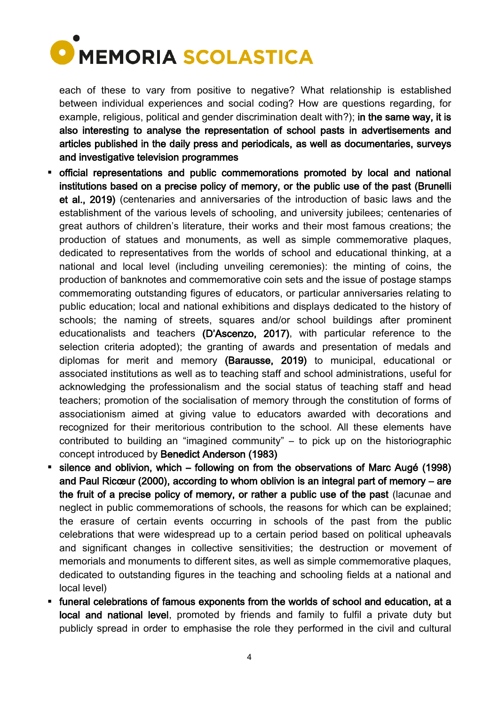

each of these to vary from positive to negative? What relationship is established between individual experiences and social coding? How are questions regarding, for example, religious, political and gender discrimination dealt with?); in the same way, it is also interesting to analyse the representation of school pasts in advertisements and articles published in the daily press and periodicals, as well as documentaries, surveys and investigative television programmes

- official representations and public commemorations promoted by local and national institutions based on a precise policy of memory, or the public use of the past (Brunelli et al., 2019) (centenaries and anniversaries of the introduction of basic laws and the establishment of the various levels of schooling, and university jubilees; centenaries of great authors of children's literature, their works and their most famous creations; the production of statues and monuments, as well as simple commemorative plaques, dedicated to representatives from the worlds of school and educational thinking, at a national and local level (including unveiling ceremonies): the minting of coins, the production of banknotes and commemorative coin sets and the issue of postage stamps commemorating outstanding figures of educators, or particular anniversaries relating to public education; local and national exhibitions and displays dedicated to the history of schools; the naming of streets, squares and/or school buildings after prominent educationalists and teachers (D'Ascenzo, 2017), with particular reference to the selection criteria adopted); the granting of awards and presentation of medals and diplomas for merit and memory (Barausse, 2019) to municipal, educational or associated institutions as well as to teaching staff and school administrations, useful for acknowledging the professionalism and the social status of teaching staff and head teachers; promotion of the socialisation of memory through the constitution of forms of associationism aimed at giving value to educators awarded with decorations and recognized for their meritorious contribution to the school. All these elements have contributed to building an "imagined community" – to pick up on the historiographic concept introduced by Benedict Anderson (1983)
- silence and oblivion, which following on from the observations of Marc Augé (1998) and Paul Ricœur (2000), according to whom oblivion is an integral part of memory – are the fruit of a precise policy of memory, or rather a public use of the past (lacunae and neglect in public commemorations of schools, the reasons for which can be explained; the erasure of certain events occurring in schools of the past from the public celebrations that were widespread up to a certain period based on political upheavals and significant changes in collective sensitivities; the destruction or movement of memorials and monuments to different sites, as well as simple commemorative plaques, dedicated to outstanding figures in the teaching and schooling fields at a national and local level)
- funeral celebrations of famous exponents from the worlds of school and education, at a local and national level, promoted by friends and family to fulfil a private duty but publicly spread in order to emphasise the role they performed in the civil and cultural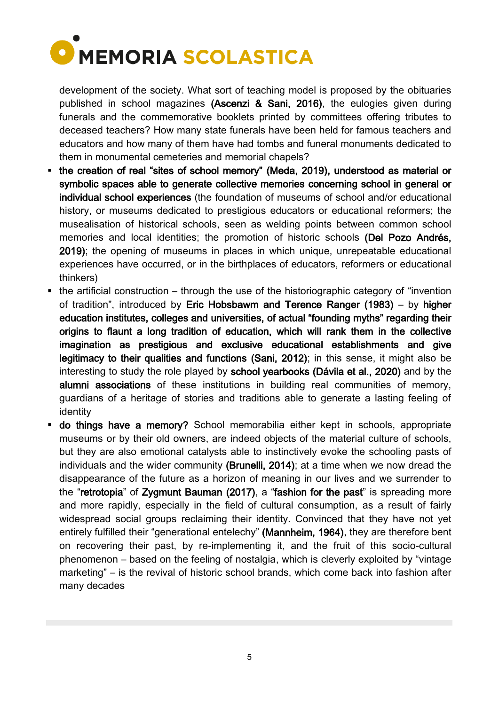

development of the society. What sort of teaching model is proposed by the obituaries published in school magazines (Ascenzi & Sani, 2016), the eulogies given during funerals and the commemorative booklets printed by committees offering tributes to deceased teachers? How many state funerals have been held for famous teachers and educators and how many of them have had tombs and funeral monuments dedicated to them in monumental cemeteries and memorial chapels?

- the creation of real "sites of school memory" (Meda, 2019), understood as material or symbolic spaces able to generate collective memories concerning school in general or individual school experiences (the foundation of museums of school and/or educational history, or museums dedicated to prestigious educators or educational reformers; the musealisation of historical schools, seen as welding points between common school memories and local identities; the promotion of historic schools (Del Pozo Andrés, 2019); the opening of museums in places in which unique, unrepeatable educational experiences have occurred, or in the birthplaces of educators, reformers or educational thinkers)
- $\blacksquare$  the artificial construction through the use of the historiographic category of "invention" of tradition", introduced by Eric Hobsbawm and Terence Ranger (1983) – by higher education institutes, colleges and universities, of actual "founding myths" regarding their origins to flaunt a long tradition of education, which will rank them in the collective imagination as prestigious and exclusive educational establishments and give legitimacy to their qualities and functions (Sani, 2012); in this sense, it might also be interesting to study the role played by school yearbooks (Dávila et al., 2020) and by the alumni associations of these institutions in building real communities of memory, guardians of a heritage of stories and traditions able to generate a lasting feeling of identity
- **do things have a memory?** School memorabilia either kept in schools, appropriate museums or by their old owners, are indeed objects of the material culture of schools, but they are also emotional catalysts able to instinctively evoke the schooling pasts of individuals and the wider community (Brunelli, 2014); at a time when we now dread the disappearance of the future as a horizon of meaning in our lives and we surrender to the "retrotopia" of Zygmunt Bauman (2017), a "fashion for the past" is spreading more and more rapidly, especially in the field of cultural consumption, as a result of fairly widespread social groups reclaiming their identity. Convinced that they have not yet entirely fulfilled their "generational entelechy" (Mannheim, 1964), they are therefore bent on recovering their past, by re-implementing it, and the fruit of this socio-cultural phenomenon – based on the feeling of nostalgia, which is cleverly exploited by "vintage marketing" – is the revival of historic school brands, which come back into fashion after many decades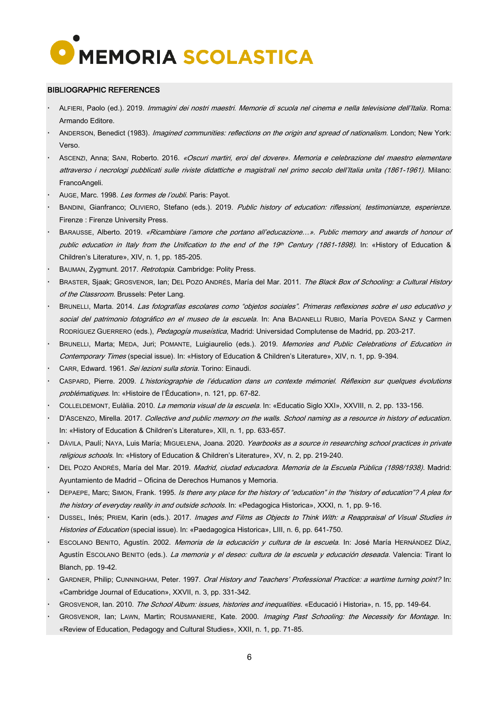

#### BIBLIOGRAPHIC REFERENCES

- ALFIERI, Paolo (ed.). 2019. Immagini dei nostri maestri. Memorie di scuola nel cinema e nella televisione dell'Italia. Roma: Armando Editore.
- ANDERSON, Benedict (1983). Imagined communities: reflections on the origin and spread of nationalism. London; New York: Verso.
- ASCENZI, Anna; SANI, Roberto. 2016. «Oscuri martiri, eroi del dovere». Memoria e celebrazione del maestro elementare attraverso i necrologi pubblicati sulle riviste didattiche e magistrali nel primo secolo dell'Italia unita (1861-1961). Milano: FrancoAngeli.
- AUGE, Marc. 1998. Les formes de l'oubli. Paris: Payot.
- BANDINI, Gianfranco; OLIVIERO, Stefano (eds.). 2019. Public history of education: riflessioni, testimonianze, esperienze. Firenze : Firenze University Press.
- BARAUSSE, Alberto. 2019. «Ricambiare l'amore che portano all'educazione…». Public memory and awards of honour of public education in Italy from the Unification to the end of the 19th Century (1861-1898). In: «History of Education  $\&$ Children's Literature», XIV, n. 1, pp. 185-205.
- BAUMAN, Zygmunt. 2017. Retrotopia. Cambridge: Polity Press.
- BRASTER, Sjaak; GROSVENOR, Ian; DEL POZO ANDRÉS, María del Mar. 2011. The Black Box of Schooling: a Cultural History of the Classroom. Brussels: Peter Lang.
- BRUNELLI, Marta. 2014. Las fotografías escolares como "objetos sociales". Primeras reflexiones sobre el uso educativo y social del patrimonio fotográfico en el museo de la escuela. In: Ana BADANELLI RUBIO, María POVEDA SANZ y Carmen RODRÍGUEZ GUERRERO (eds.), Pedagogía museística, Madrid: Universidad Complutense de Madrid, pp. 203-217.
- BRUNELLI, Marta; MEDA, Juri; POMANTE, Luigiaurelio (eds.). 2019. Memories and Public Celebrations of Education in Contemporary Times (special issue). In: «History of Education & Children's Literature», XIV, n. 1, pp. 9-394.
- CARR, Edward. 1961. Sei lezioni sulla storia. Torino: Einaudi.
- CASPARD, Pierre. 2009. L'historiographie de l'éducation dans un contexte mémoriel. Réflexion sur quelques évolutions problématiques. In: «Histoire de l'Éducation», n. 121, pp. 67-82.
- COLLELDEMONT, Eulàlia. 2010. La memoria visual de la escuela. In: «Educatio Siglo XXI», XXVIII, n. 2, pp. 133-156.
- D'ASCENZO, Mirella. 2017. Collective and public memory on the walls. School naming as a resource in history of education. In: «History of Education & Children's Literature», XII, n. 1, pp. 633-657.
- DÁVILA, Paulí; NAYA, Luis María; MIGUELENA, Joana. 2020. Yearbooks as a source in researching school practices in private religious schools. In: «History of Education & Children's Literature», XV, n. 2, pp. 219-240.
- DEL POZO ANDRÉS, María del Mar. 2019. Madrid, ciudad educadora. Memoria de la Escuela Pública (1898/1938). Madrid: Ayuntamiento de Madrid – Oficina de Derechos Humanos y Memoria.
- DEPAEPE, Marc; SIMON, Frank. 1995. Is there any place for the history of "education" in the "history of education"? A plea for the history of everyday reality in and outside schools. In: «Pedagogica Historica», XXXI, n. 1, pp. 9-16.
- DUSSEL, Inés; PRIEM, Karin (eds.). 2017. Images and Films as Objects to Think With: a Reappraisal of Visual Studies in Histories of Education (special issue). In: «Paedagogica Historica», LIII, n. 6, pp. 641-750.
- ESCOLANO BENITO, Agustín. 2002. Memoria de la educación y cultura de la escuela. In: José María HERNÁNDEZ DÍAZ, Agustín ESCOLANO BENITO (eds.). La memoria y el deseo: cultura de la escuela y educación deseada. Valencia: Tirant lo Blanch, pp. 19-42.
- GARDNER, Philip; CUNNINGHAM, Peter. 1997. Oral History and Teachers' Professional Practice: a wartime turning point? In: «Cambridge Journal of Education», XXVII, n. 3, pp. 331-342.
- GROSVENOR, Ian. 2010. The School Album: issues, histories and inequalities. «Educació i Historia», n. 15, pp. 149-64.
- GROSVENOR, Ian; LAWN, Martin; ROUSMANIERE, Kate. 2000. Imaging Past Schooling: the Necessity for Montage. In: «Review of Education, Pedagogy and Cultural Studies», XXII, n. 1, pp. 71-85.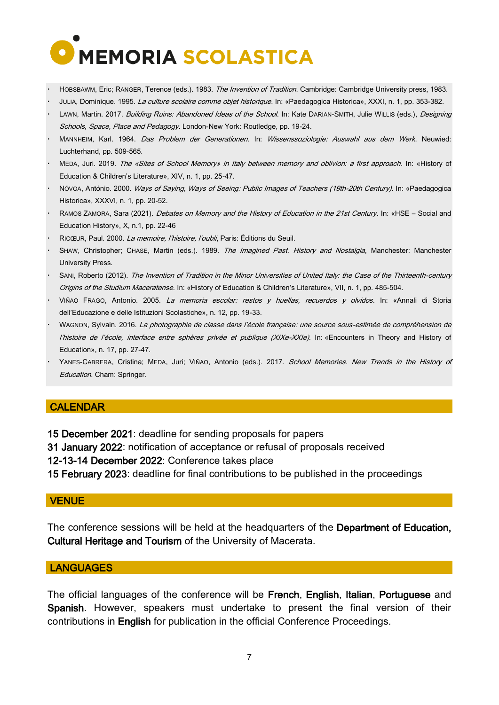

- HOBSBAWM, Eric: RANGER, Terence (eds.). 1983. The Invention of Tradition. Cambridge: Cambridge University press, 1983.
- JULIA, Dominique. 1995. La culture scolaire comme objet historique. In: «Paedagogica Historica», XXXI, n. 1, pp. 353-382.
- LAWN, Martin. 2017. Building Ruins: Abandoned Ideas of the School. In: Kate DARIAN-SMITH, Julie WILLIS (eds.), Designing Schools, Space, Place and Pedagogy. London-New York: Routledge, pp. 19-24.
- MANNHEIM, Karl. 1964. Das Problem der Generationen. In: Wissenssoziologie: Auswahl aus dem Werk. Neuwied: Luchterhand, pp. 509-565.
- MEDA, Juri. 2019. The «Sites of School Memory» in Italy between memory and oblivion: a first approach. In: «History of Education & Children's Literature», XIV, n. 1, pp. 25-47.
- NÓVOA, António. 2000. Ways of Saying, Ways of Seeing: Public Images of Teachers (19th-20th Century). In: «Paedagogica Historica», XXXVI, n. 1, pp. 20-52.
- RAMOS ZAMORA, Sara (2021). Debates on Memory and the History of Education in the 21st Century. In: «HSE Social and Education History», X, n.1, pp. 22-46
- RICŒUR, Paul. 2000. La memoire, l'histoire, l'oubli, Paris: Éditions du Seuil.
- SHAW, Christopher; CHASE, Martin (eds.). 1989. The Imagined Past. History and Nostalgia, Manchester: Manchester University Press.
- SANI, Roberto (2012). The Invention of Tradition in the Minor Universities of United Italy: the Case of the Thirteenth-century Origins of the Studium Maceratense. In: «History of Education & Children's Literature», VII, n. 1, pp. 485-504.
- VIÑAO FRAGO, Antonio. 2005. La memoria escolar: restos y huellas, recuerdos y olvidos. In: «Annali di Storia dell'Educazione e delle Istituzioni Scolastiche», n. 12, pp. 19-33.
- WAGNON, Sylvain. 2016. La photographie de classe dans l'école française: une source sous-estimée de compréhension de l'histoire de l'école, interface entre sphères privée et publique (XIXe-XXIe). In: «Encounters in Theory and History of Education», n. 17, pp. 27-47.
- YANES-CABRERA, Cristina; MEDA, Juri; VIÑAO, Antonio (eds.). 2017. School Memories. New Trends in the History of Education. Cham: Springer.

#### CALENDAR

- 15 December 2021: deadline for sending proposals for papers
- 31 January 2022: notification of acceptance or refusal of proposals received

12-13-14 December 2022: Conference takes place

15 February 2023: deadline for final contributions to be published in the proceedings

#### **VENUE**

The conference sessions will be held at the headquarters of the Department of Education, Cultural Heritage and Tourism of the University of Macerata.

#### **LANGUAGES**

The official languages of the conference will be French, English, Italian, Portuguese and Spanish. However, speakers must undertake to present the final version of their contributions in English for publication in the official Conference Proceedings.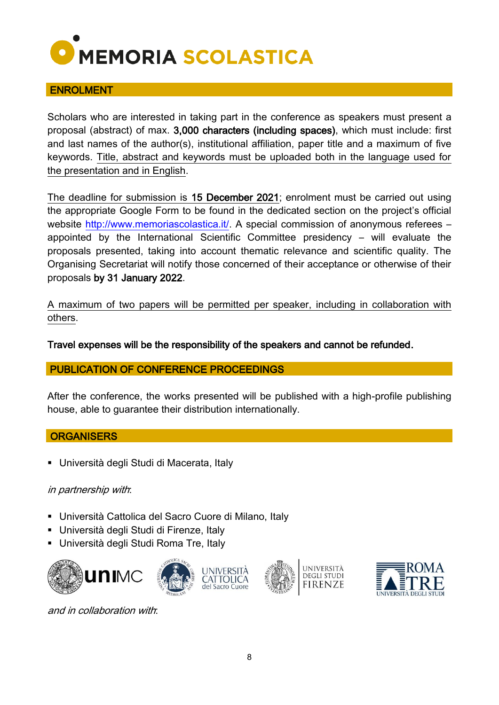

#### ENROLMENT

Scholars who are interested in taking part in the conference as speakers must present a proposal (abstract) of max. 3,000 characters (including spaces), which must include: first and last names of the author(s), institutional affiliation, paper title and a maximum of five keywords. Title, abstract and keywords must be uploaded both in the language used for the presentation and in English.

The deadline for submission is 15 December 2021; enrolment must be carried out using the appropriate Google Form to be found in the dedicated section on the project's official website [http://www.memoriascolastica.it/.](http://www.memoriascolastica.it/) A special commission of anonymous referees – appointed by the International Scientific Committee presidency – will evaluate the proposals presented, taking into account thematic relevance and scientific quality. The Organising Secretariat will notify those concerned of their acceptance or otherwise of their proposals by 31 January 2022.

A maximum of two papers will be permitted per speaker, including in collaboration with others.

Travel expenses will be the responsibility of the speakers and cannot be refunded.

#### PUBLICATION OF CONFERENCE PROCEEDINGS

After the conference, the works presented will be published with a high-profile publishing house, able to guarantee their distribution internationally.

#### **ORGANISERS**

Università degli Studi di Macerata, Italy

#### in partnership with:

- Università Cattolica del Sacro Cuore di Milano, Italy
- Università degli Studi di Firenze, Italy
- Università degli Studi Roma Tre, Italy







and in collaboration with: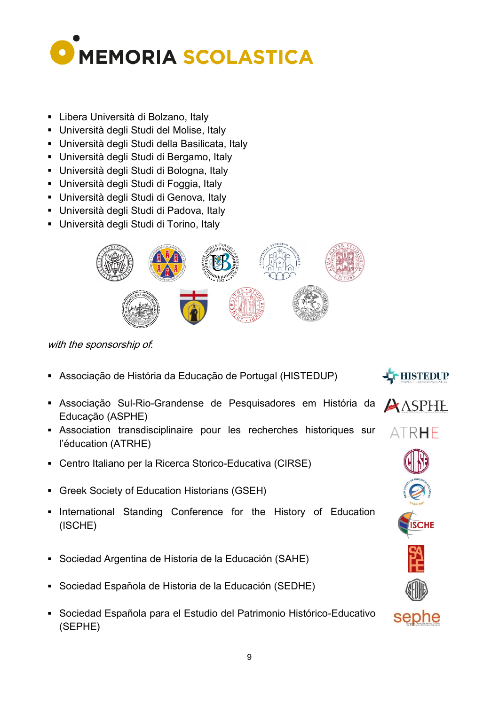

- Libera Università di Bolzano, Italy
- Università degli Studi del Molise, Italy
- Università degli Studi della Basilicata, Italy
- Università degli Studi di Bergamo, Italy
- Università degli Studi di Bologna, Italy
- Università degli Studi di Foggia, Italy
- Università degli Studi di Genova, Italy
- Università degli Studi di Padova, Italy
- Università degli Studi di Torino, Italy



with the sponsorship of.

- Associação de História da Educação de Portugal (HISTEDUP)
- Associação Sul-Rio-Grandense de Pesquisadores em História da  $\bigtriangleup$  ASPHE Educação (ASPHE)
- Association transdisciplinaire pour les recherches historiques sur l'éducation (ATRHE)
- Centro Italiano per la Ricerca Storico-Educativa (CIRSE)
- Greek Society of Education Historians (GSEH)
- **International Standing Conference for the History of Education** (ISCHE)
- Sociedad Argentina de Historia de la Educación (SAHE)
- Sociedad Española de Historia de la Educación (SEDHE)
- Sociedad Española para el Estudio del Patrimonio Histórico-Educativo (SEPHE)



HISTEDUP

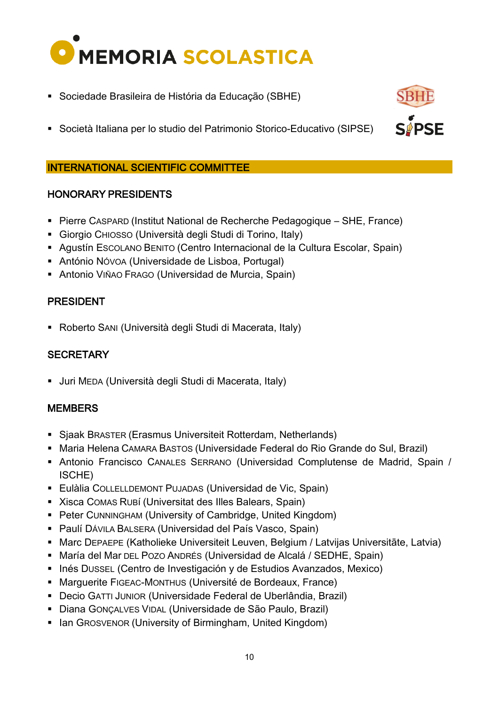![](_page_9_Picture_0.jpeg)

- Sociedade Brasileira de História da Educação (SBHE)
- Società Italiana per lo studio del Patrimonio Storico-Educativo (SIPSE)

**SPSE** 

#### INTERNATIONAL SCIENTIFIC COMMITTEE

#### HONORARY PRESIDENTS

- Pierre CASPARD (Institut National de Recherche Pedagogique SHE, France)
- Giorgio CHIOSSO (Università degli Studi di Torino, Italy)
- Agustín ESCOLANO BENITO (Centro Internacional de la Cultura Escolar, Spain)
- António NÓVOA (Universidade de Lisboa, Portugal)
- Antonio VIÑAO FRAGO (Universidad de Murcia, Spain)

#### PRESIDENT

Roberto SANI (Università degli Studi di Macerata, Italy)

### **SECRETARY**

Juri MEDA (Università degli Studi di Macerata, Italy)

#### **MEMBERS**

- Sjaak BRASTER (Erasmus Universiteit Rotterdam, Netherlands)
- Maria Helena CAMARA BASTOS (Universidade Federal do Rio Grande do Sul, Brazil)
- Antonio Francisco CANALES SERRANO (Universidad Complutense de Madrid, Spain / ISCHE)
- Eulàlia COLLELLDEMONT PUJADAS (Universidad de Vic, Spain)
- Xisca COMAS RUBí (Universitat des Illes Balears, Spain)
- Peter CUNNINGHAM (University of Cambridge, United Kingdom)
- Paulí DÁVILA BALSERA (Universidad del País Vasco, Spain)
- Marc DEPAEPE (Katholieke Universiteit Leuven, Belgium / Latvijas Universitāte, Latvia)
- María del Mar DEL POZO ANDRÉS (Universidad de Alcalá / SEDHE, Spain)
- **Inés Dussel (Centro de Investigación y de Estudios Avanzados, Mexico)**
- Marguerite FIGEAC-MONTHUS (Université de Bordeaux, France)
- Decio GATTI JUNIOR (Universidade Federal de Uberlândia, Brazil)
- Diana GONÇALVES VIDAL (Universidade de São Paulo, Brazil)
- Ian GROSVENOR (University of Birmingham, United Kingdom)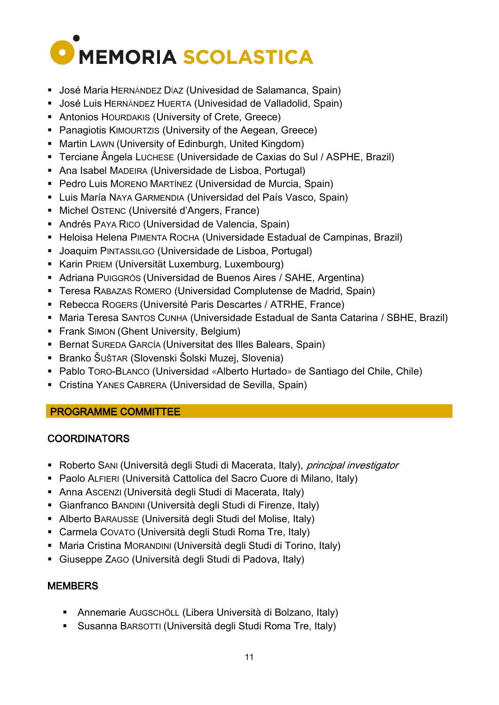![](_page_10_Picture_0.jpeg)

- José Maria HERNÁNDEZ DÍAZ (Univesidad de Salamanca, Spain)
- José Luis HERNÁNDEZ HUERTA (Univesidad de Valladolid, Spain)
- **Antonios HOURDAKIS (University of Crete, Greece)**
- **Panagiotis KIMOURTZIS (University of the Aegean, Greece)**
- **Martin LAWN (University of Edinburgh, United Kingdom)**
- Terciane Ângela LUCHESE (Universidade de Caxias do Sul / ASPHE, Brazil)
- Ana Isabel MADEIRA (Universidade de Lisboa, Portugal)
- Pedro Luis MORENO MARTÍNEZ (Universidad de Murcia, Spain)
- Luis María NAYA GARMENDIA (Universidad del País Vasco, Spain)
- Michel OSTENC (Université d'Angers, France)
- Andrés PAYA RICO (Universidad de Valencia, Spain)
- Heloisa Helena PIMENTA ROCHA (Universidade Estadual de Campinas, Brazil)
- Joaquim PINTASSILGO (Universidade de Lisboa, Portugal)
- Karin PRIEM (Universität Luxemburg, Luxembourg)
- Adriana PUIGGRÓS (Universidad de Buenos Aires / SAHE, Argentina)
- Teresa RABAZAS ROMERO (Universidad Complutense de Madrid, Spain)
- Rebecca ROGERS (Université Paris Descartes / ATRHE, France)
- Maria Teresa SANTOS CUNHA (Universidade Estadual de Santa Catarina / SBHE, Brazil)
- **Frank SIMON (Ghent University, Belgium)**
- Bernat SUREDA GARCÍA (Universitat des Illes Balears, Spain)
- Branko ŠUŠTAR (Slovenski Šolski Muzej, Slovenia)
- Pablo TORO-BLANCO (Universidad «Alberto Hurtado» de Santiago del Chile, Chile)
- Cristina YANES CABRERA (Universidad de Sevilla, Spain)

#### PROGRAMME COMMITTEE

# **COORDINATORS**

- Roberto SANI (Università degli Studi di Macerata, Italy), *principal investigator*
- Paolo ALFIERI (Università Cattolica del Sacro Cuore di Milano, Italy)
- Anna ASCENZI (Università degli Studi di Macerata, Italy)
- Gianfranco BANDINI (Università degli Studi di Firenze, Italy)
- Alberto BARAUSSE (Università degli Studi del Molise, Italy)
- Carmela COVATO (Università degli Studi Roma Tre, Italy)
- Maria Cristina MORANDINI (Università degli Studi di Torino, Italy)
- Giuseppe ZAGO (Università degli Studi di Padova, Italy)

# **MEMBERS**

- Annemarie AUGSCHÖLL (Libera Università di Bolzano, Italy)
- Susanna BARSOTTI (Università degli Studi Roma Tre, Italy)